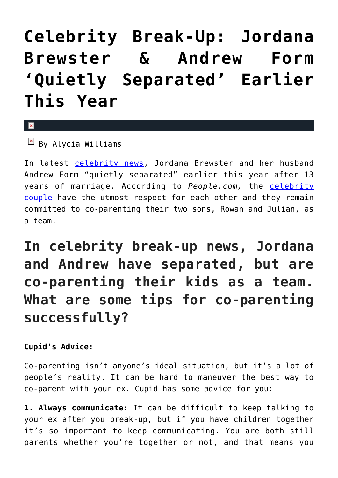## **[Celebrity Break-Up: Jordana](https://cupidspulse.com/134865/celebrity-break-up-jordana-brewster-andrew-form-quietly-separated/) [Brewster & Andrew Form](https://cupidspulse.com/134865/celebrity-break-up-jordana-brewster-andrew-form-quietly-separated/) ['Quietly Separated' Earlier](https://cupidspulse.com/134865/celebrity-break-up-jordana-brewster-andrew-form-quietly-separated/) [This Year](https://cupidspulse.com/134865/celebrity-break-up-jordana-brewster-andrew-form-quietly-separated/)**

## x

 $\overline{\mathbb{F}}$  By Alycia Williams

In latest [celebrity news](http://cupidspulse.com/celebrity-news/), Jordana Brewster and her husband Andrew Form "quietly separated" earlier this year after 13 years of marriage. According to *People.com*, the **[celebrity](http://cupidspulse.com/celebrity-news/celebrity-dating/)** [couple](http://cupidspulse.com/celebrity-news/celebrity-dating/) have the utmost respect for each other and they remain committed to co-parenting their two sons, Rowan and Julian, as a team.

**In celebrity break-up news, Jordana and Andrew have separated, but are co-parenting their kids as a team. What are some tips for co-parenting successfully?**

## **Cupid's Advice:**

Co-parenting isn't anyone's ideal situation, but it's a lot of people's reality. It can be hard to maneuver the best way to co-parent with your ex. Cupid has some advice for you:

**1. Always communicate:** It can be difficult to keep talking to your ex after you break-up, but if you have children together it's so important to keep communicating. You are both still parents whether you're together or not, and that means you